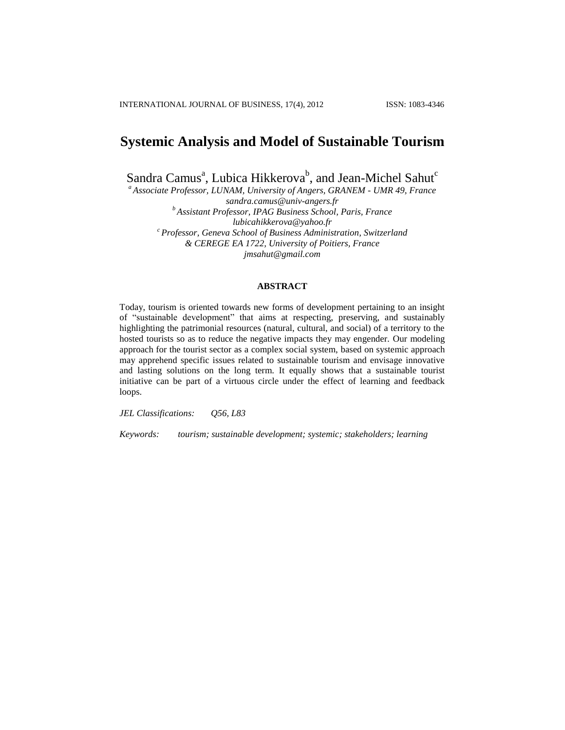# **Systemic Analysis and Model of Sustainable Tourism**

Sandra Camus<sup>a</sup>, Lubica Hikkerova<sup>b</sup>, and Jean-Michel Sahut<sup>c</sup>

*<sup>a</sup>Associate Professor, LUNAM, University of Angers, GRANEM - UMR 49, France [sandra.camus@univ-angers.fr](mailto:sandra.camus@univ-angers.fr) <sup>b</sup>Assistant Professor, IPAG Business School, Paris, France [lubicahikkerova@yahoo.fr](mailto:lubicahikkerova@yahoo.fr) <sup>c</sup> Professor, Geneva School of Business Administration, Switzerland & CEREGE EA 1722, University of Poitiers, France [jmsahut@gmail.com](mailto:jmsahut@gmail.com)*

**ABSTRACT**

Today, tourism is oriented towards new forms of development pertaining to an insight of "sustainable development" that aims at respecting, preserving, and sustainably highlighting the patrimonial resources (natural, cultural, and social) of a territory to the hosted tourists so as to reduce the negative impacts they may engender. Our modeling approach for the tourist sector as a complex social system, based on systemic approach may apprehend specific issues related to sustainable tourism and envisage innovative and lasting solutions on the long term. It equally shows that a sustainable tourist initiative can be part of a virtuous circle under the effect of learning and feedback loops.

*JEL Classifications: Q56, L83*

*Keywords: tourism; sustainable development; systemic; stakeholders; learning*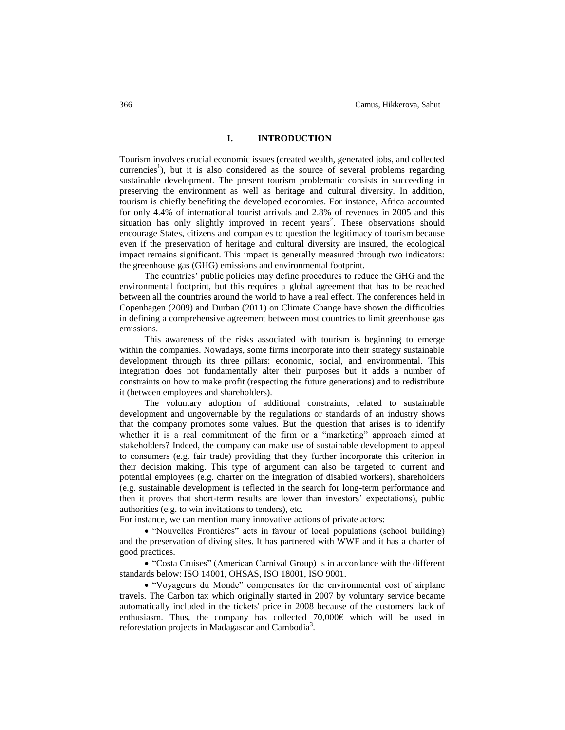# **I. INTRODUCTION**

Tourism involves crucial economic issues (created wealth, generated jobs, and collected currencies<sup>1</sup>), but it is also considered as the source of several problems regarding sustainable development. The present tourism problematic consists in succeeding in preserving the environment as well as heritage and cultural diversity. In addition, tourism is chiefly benefiting the developed economies. For instance, Africa accounted for only 4.4% of international tourist arrivals and 2.8% of revenues in 2005 and this situation has only slightly improved in recent years<sup>2</sup>. These observations should encourage States, citizens and companies to question the legitimacy of tourism because even if the preservation of heritage and cultural diversity are insured, the ecological impact remains significant. This impact is generally measured through two indicators: the greenhouse gas (GHG) emissions and environmental footprint.

The countries' public policies may define procedures to reduce the GHG and the environmental footprint, but this requires a global agreement that has to be reached between all the countries around the world to have a real effect. The conferences held in Copenhagen (2009) and Durban (2011) on Climate Change have shown the difficulties in defining a comprehensive agreement between most countries to limit greenhouse gas emissions.

This awareness of the risks associated with tourism is beginning to emerge within the companies. Nowadays, some firms incorporate into their strategy sustainable development through its three pillars: economic, social, and environmental. This integration does not fundamentally alter their purposes but it adds a number of constraints on how to make profit (respecting the future generations) and to redistribute it (between employees and shareholders).

The voluntary adoption of additional constraints, related to sustainable development and ungovernable by the regulations or standards of an industry shows that the company promotes some values. But the question that arises is to identify whether it is a real commitment of the firm or a "marketing" approach aimed at stakeholders? Indeed, the company can make use of sustainable development to appeal to consumers (e.g. fair trade) providing that they further incorporate this criterion in their decision making. This type of argument can also be targeted to current and potential employees (e.g. charter on the integration of disabled workers), shareholders (e.g. sustainable development is reflected in the search for long-term performance and then it proves that short-term results are lower than investors' expectations), public authorities (e.g. to win invitations to tenders), etc.

For instance, we can mention many innovative actions of private actors:

 "Nouvelles Frontières" acts in favour of local populations (school building) and the preservation of diving sites. It has partnered with WWF and it has a charter of good practices.

 "Costa Cruises" (American Carnival Group) is in accordance with the different standards below: ISO 14001, OHSAS, ISO 18001, ISO 9001.

 "Voyageurs du Monde" compensates for the environmental cost of airplane travels. The Carbon tax which originally started in 2007 by voluntary service became automatically included in the tickets' price in 2008 because of the customers' lack of enthusiasm. Thus, the company has collected 70,000€ which will be used in reforestation projects in Madagascar and Cambodia<sup>3</sup>.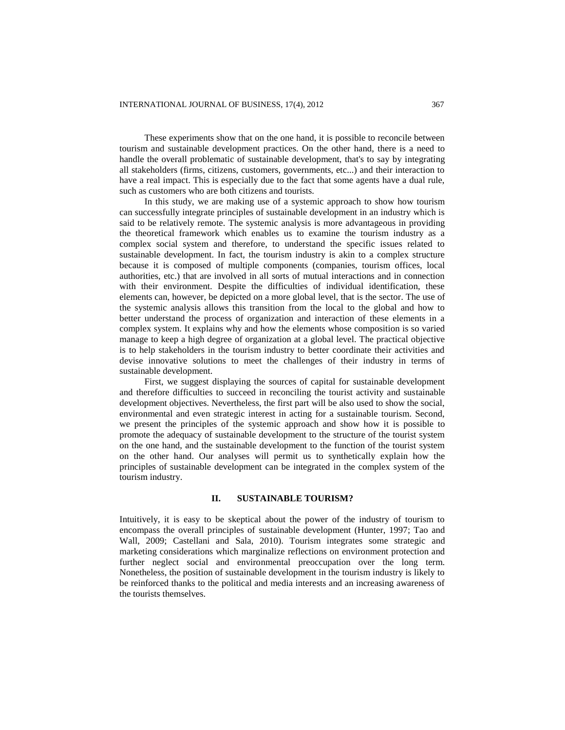These experiments show that on the one hand, it is possible to reconcile between tourism and sustainable development practices. On the other hand, there is a need to handle the overall problematic of sustainable development, that's to say by integrating all stakeholders (firms, citizens, customers, governments, etc...) and their interaction to have a real impact. This is especially due to the fact that some agents have a dual rule, such as customers who are both citizens and tourists.

In this study, we are making use of a systemic approach to show how tourism can successfully integrate principles of sustainable development in an industry which is said to be relatively remote. The systemic analysis is more advantageous in providing the theoretical framework which enables us to examine the tourism industry as a complex social system and therefore, to understand the specific issues related to sustainable development. In fact, the tourism industry is akin to a complex structure because it is composed of multiple components (companies, tourism offices, local authorities, etc.) that are involved in all sorts of mutual interactions and in connection with their environment. Despite the difficulties of individual identification, these elements can, however, be depicted on a more global level, that is the sector. The use of the systemic analysis allows this transition from the local to the global and how to better understand the process of organization and interaction of these elements in a complex system. It explains why and how the elements whose composition is so varied manage to keep a high degree of organization at a global level. The practical objective is to help stakeholders in the tourism industry to better coordinate their activities and devise innovative solutions to meet the challenges of their industry in terms of sustainable development.

First, we suggest displaying the sources of capital for sustainable development and therefore difficulties to succeed in reconciling the tourist activity and sustainable development objectives. Nevertheless, the first part will be also used to show the social, environmental and even strategic interest in acting for a sustainable tourism. Second, we present the principles of the systemic approach and show how it is possible to promote the adequacy of sustainable development to the structure of the tourist system on the one hand, and the sustainable development to the function of the tourist system on the other hand. Our analyses will permit us to synthetically explain how the principles of sustainable development can be integrated in the complex system of the tourism industry.

## **II. SUSTAINABLE TOURISM?**

Intuitively, it is easy to be skeptical about the power of the industry of tourism to encompass the overall principles of sustainable development (Hunter, 1997; Tao and Wall, 2009; Castellani and Sala, 2010). Tourism integrates some strategic and marketing considerations which marginalize reflections on environment protection and further neglect social and environmental preoccupation over the long term. Nonetheless, the position of sustainable development in the tourism industry is likely to be reinforced thanks to the political and media interests and an increasing awareness of the tourists themselves.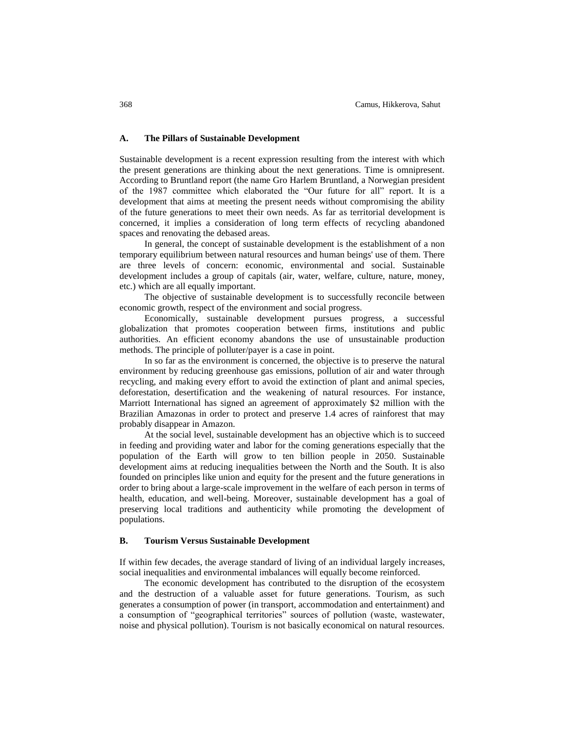# **A. The Pillars of Sustainable Development**

Sustainable development is a recent expression resulting from the interest with which the present generations are thinking about the next generations. Time is omnipresent. According to Bruntland report (the name Gro Harlem Bruntland, a Norwegian president of the 1987 committee which elaborated the "Our future for all" report. It is a development that aims at meeting the present needs without compromising the ability of the future generations to meet their own needs. As far as territorial development is concerned, it implies a consideration of long term effects of recycling abandoned spaces and renovating the debased areas.

In general, the concept of sustainable development is the establishment of a non temporary equilibrium between natural resources and human beings' use of them. There are three levels of concern: economic, environmental and social. Sustainable development includes a group of capitals (air, water, welfare, culture, nature, money, etc.) which are all equally important.

The objective of sustainable development is to successfully reconcile between economic growth, respect of the environment and social progress.

Economically, sustainable development pursues progress, a successful globalization that promotes cooperation between firms, institutions and public authorities. An efficient economy abandons the use of unsustainable production methods. The principle of polluter/payer is a case in point.

In so far as the environment is concerned, the objective is to preserve the natural environment by reducing greenhouse gas emissions, pollution of air and water through recycling, and making every effort to avoid the extinction of plant and animal species, deforestation, desertification and the weakening of natural resources. For instance, Marriott International has signed an agreement of approximately \$2 million with the Brazilian Amazonas in order to protect and preserve 1.4 acres of rainforest that may probably disappear in Amazon.

At the social level, sustainable development has an objective which is to succeed in feeding and providing water and labor for the coming generations especially that the population of the Earth will grow to ten billion people in 2050. Sustainable development aims at reducing inequalities between the North and the South. It is also founded on principles like union and equity for the present and the future generations in order to bring about a large-scale improvement in the welfare of each person in terms of health, education, and well-being. Moreover, sustainable development has a goal of preserving local traditions and authenticity while promoting the development of populations.

#### **B. Tourism Versus Sustainable Development**

If within few decades, the average standard of living of an individual largely increases, social inequalities and environmental imbalances will equally become reinforced.

The economic development has contributed to the disruption of the ecosystem and the destruction of a valuable asset for future generations. Tourism, as such generates a consumption of power (in transport, accommodation and entertainment) and a consumption of "geographical territories" sources of pollution (waste, wastewater, noise and physical pollution). Tourism is not basically economical on natural resources.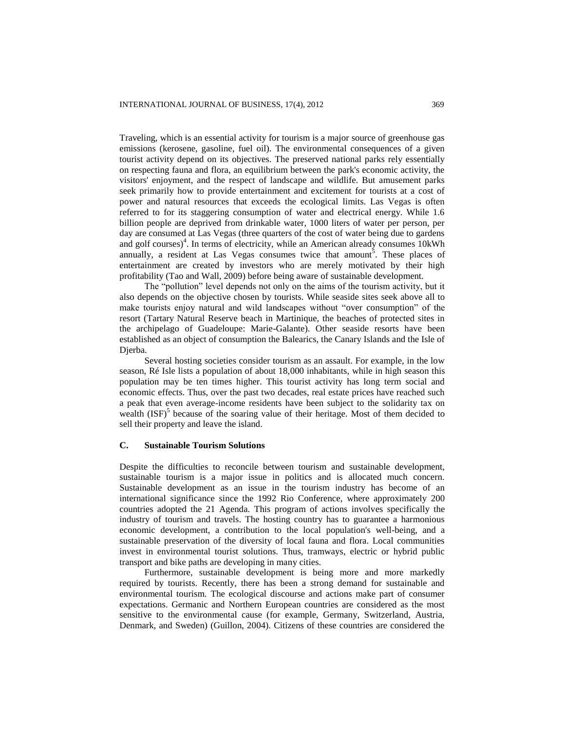Traveling, which is an essential activity for tourism is a major source of greenhouse gas emissions (kerosene, gasoline, fuel oil). The environmental consequences of a given tourist activity depend on its objectives. The preserved national parks rely essentially on respecting fauna and flora, an equilibrium between the park's economic activity, the visitors' enjoyment, and the respect of landscape and wildlife. But amusement parks seek primarily how to provide entertainment and excitement for tourists at a cost of power and natural resources that exceeds the ecological limits. Las Vegas is often referred to for its staggering consumption of water and electrical energy. While 1.6 billion people are deprived from drinkable water, 1000 liters of water per person, per day are consumed at Las Vegas (three quarters of the cost of water being due to gardens and golf courses)<sup>4</sup>. In terms of electricity, while an American already consumes 10kWh annually, a resident at Las Vegas consumes twice that amount<sup>5</sup>. These places of entertainment are created by investors who are merely motivated by their high profitability (Tao and Wall, 2009) before being aware of sustainable development.

The "pollution" level depends not only on the aims of the tourism activity, but it also depends on the objective chosen by tourists. While seaside sites seek above all to make tourists enjoy natural and wild landscapes without "over consumption" of the resort (Tartary Natural Reserve beach in Martinique, the beaches of protected sites in the archipelago of Guadeloupe: Marie-Galante). Other seaside resorts have been established as an object of consumption the Balearics, the Canary Islands and the Isle of Djerba.

Several hosting societies consider tourism as an assault. For example, in the low season, Ré Isle lists a population of about 18,000 inhabitants, while in high season this population may be ten times higher. This tourist activity has long term social and economic effects. Thus, over the past two decades, real estate prices have reached such a peak that even average-income residents have been subject to the solidarity tax on wealth (ISF)<sup>5</sup> because of the soaring value of their heritage. Most of them decided to sell their property and leave the island.

# **C. Sustainable Tourism Solutions**

Despite the difficulties to reconcile between tourism and sustainable development, sustainable tourism is a major issue in politics and is allocated much concern. Sustainable development as an issue in the tourism industry has become of an international significance since the 1992 Rio Conference, where approximately 200 countries adopted the 21 Agenda. This program of actions involves specifically the industry of tourism and travels. The hosting country has to guarantee a harmonious economic development, a contribution to the local population's well-being, and a sustainable preservation of the diversity of local fauna and flora. Local communities invest in environmental tourist solutions. Thus, tramways, electric or hybrid public transport and bike paths are developing in many cities.

Furthermore, sustainable development is being more and more markedly required by tourists. Recently, there has been a strong demand for sustainable and environmental tourism. The ecological discourse and actions make part of consumer expectations. Germanic and Northern European countries are considered as the most sensitive to the environmental cause (for example, Germany, Switzerland, Austria, Denmark, and Sweden) (Guillon, 2004). Citizens of these countries are considered the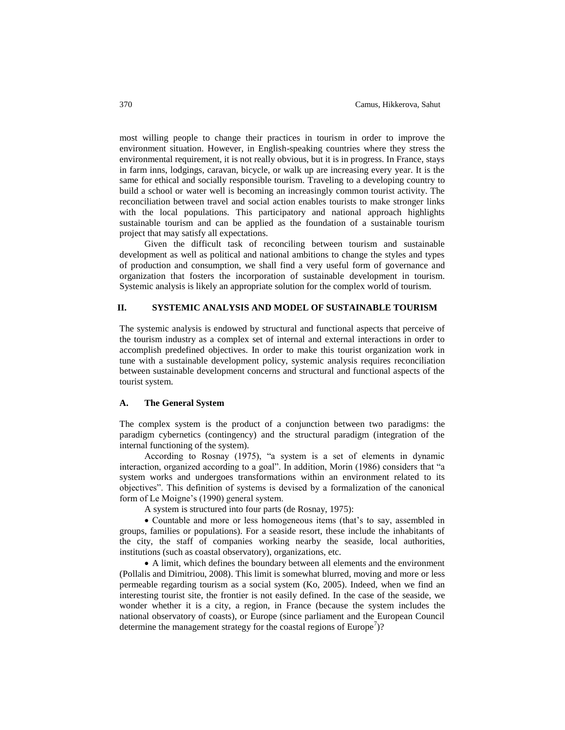most willing people to change their practices in tourism in order to improve the environment situation. However, in English-speaking countries where they stress the environmental requirement, it is not really obvious, but it is in progress. In France, stays in farm inns, lodgings, caravan, bicycle, or walk up are increasing every year. It is the same for ethical and socially responsible tourism. Traveling to a developing country to build a school or water well is becoming an increasingly common tourist activity. The reconciliation between travel and social action enables tourists to make stronger links with the local populations. This participatory and national approach highlights sustainable tourism and can be applied as the foundation of a sustainable tourism project that may satisfy all expectations.

Given the difficult task of reconciling between tourism and sustainable development as well as political and national ambitions to change the styles and types of production and consumption, we shall find a very useful form of governance and organization that fosters the incorporation of sustainable development in tourism. Systemic analysis is likely an appropriate solution for the complex world of tourism.

#### **II. SYSTEMIC ANALYSIS AND MODEL OF SUSTAINABLE TOURISM**

The systemic analysis is endowed by structural and functional aspects that perceive of the tourism industry as a complex set of internal and external interactions in order to accomplish predefined objectives. In order to make this tourist organization work in tune with a sustainable development policy, systemic analysis requires reconciliation between sustainable development concerns and structural and functional aspects of the tourist system.

#### **A. The General System**

The complex system is the product of a conjunction between two paradigms: the paradigm cybernetics (contingency) and the structural paradigm (integration of the internal functioning of the system).

According to Rosnay (1975), "a system is a set of elements in dynamic interaction, organized according to a goal". In addition, Morin (1986) considers that "a system works and undergoes transformations within an environment related to its objectives". This definition of systems is devised by a formalization of the canonical form of Le Moigne's (1990) general system.

A system is structured into four parts (de Rosnay, 1975):

• Countable and more or less homogeneous items (that's to say, assembled in groups, families or populations). For a seaside resort, these include the inhabitants of the city, the staff of companies working nearby the seaside, local authorities, institutions (such as coastal observatory), organizations, etc.

 A limit, which defines the boundary between all elements and the environment (Pollalis and Dimitriou, 2008). This limit is somewhat blurred, moving and more or less permeable regarding tourism as a social system (Ko, 2005). Indeed, when we find an interesting tourist site, the frontier is not easily defined. In the case of the seaside, we wonder whether it is a city, a region, in France (because the system includes the national observatory of coasts), or Europe (since parliament and the European Council determine the management strategy for the coastal regions of Europe<sup>7</sup>)?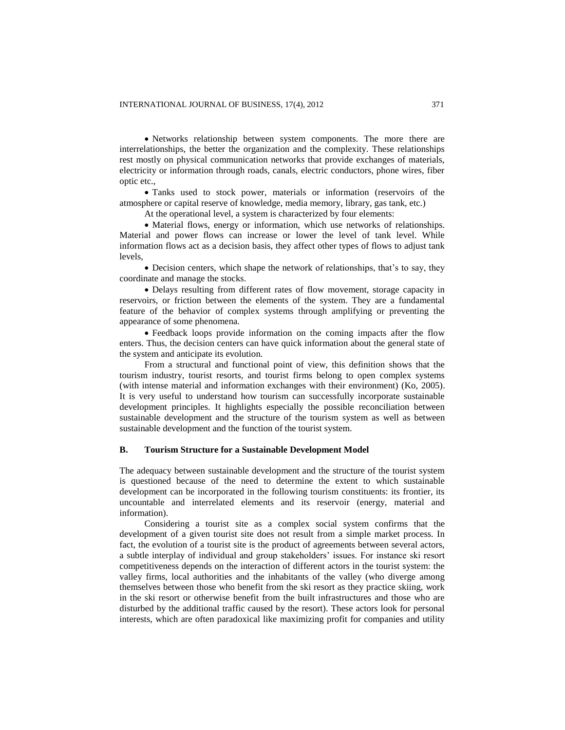• Networks relationship between system components. The more there are interrelationships, the better the organization and the complexity. These relationships rest mostly on physical communication networks that provide exchanges of materials, electricity or information through roads, canals, electric conductors, phone wires, fiber optic etc.,

 Tanks used to stock power, materials or information (reservoirs of the atmosphere or capital reserve of knowledge, media memory, library, gas tank, etc.)

At the operational level, a system is characterized by four elements:

 Material flows, energy or information, which use networks of relationships. Material and power flows can increase or lower the level of tank level. While information flows act as a decision basis, they affect other types of flows to adjust tank levels,

 Decision centers, which shape the network of relationships, that's to say, they coordinate and manage the stocks.

 Delays resulting from different rates of flow movement, storage capacity in reservoirs, or friction between the elements of the system. They are a fundamental feature of the behavior of complex systems through amplifying or preventing the appearance of some phenomena.

 Feedback loops provide information on the coming impacts after the flow enters. Thus, the decision centers can have quick information about the general state of the system and anticipate its evolution.

From a structural and functional point of view, this definition shows that the tourism industry, tourist resorts, and tourist firms belong to open complex systems (with intense material and information exchanges with their environment) (Ko, 2005). It is very useful to understand how tourism can successfully incorporate sustainable development principles. It highlights especially the possible reconciliation between sustainable development and the structure of the tourism system as well as between sustainable development and the function of the tourist system.

#### **B. Tourism Structure for a Sustainable Development Model**

The adequacy between sustainable development and the structure of the tourist system is questioned because of the need to determine the extent to which sustainable development can be incorporated in the following tourism constituents: its frontier, its uncountable and interrelated elements and its reservoir (energy, material and information).

Considering a tourist site as a complex social system confirms that the development of a given tourist site does not result from a simple market process. In fact, the evolution of a tourist site is the product of agreements between several actors, a subtle interplay of individual and group stakeholders' issues. For instance ski resort competitiveness depends on the interaction of different actors in the tourist system: the valley firms, local authorities and the inhabitants of the valley (who diverge among themselves between those who benefit from the ski resort as they practice skiing, work in the ski resort or otherwise benefit from the built infrastructures and those who are disturbed by the additional traffic caused by the resort). These actors look for personal interests, which are often paradoxical like maximizing profit for companies and utility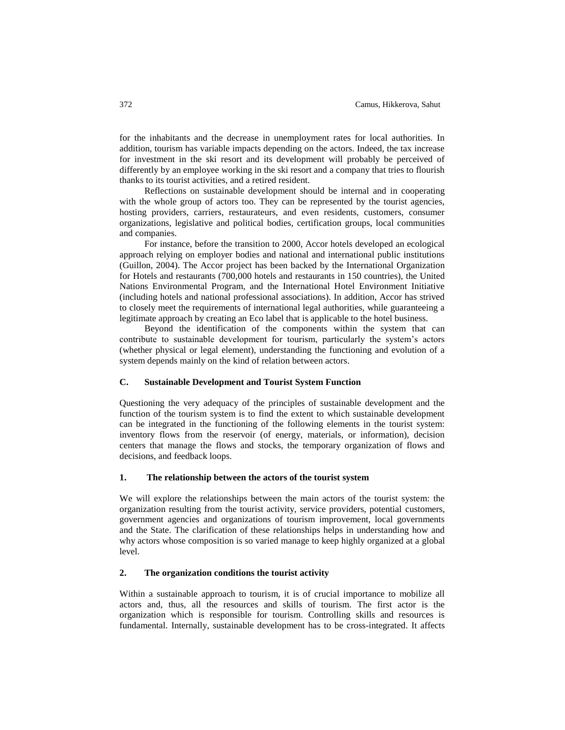for the inhabitants and the decrease in unemployment rates for local authorities. In addition, tourism has variable impacts depending on the actors. Indeed, the tax increase for investment in the ski resort and its development will probably be perceived of differently by an employee working in the ski resort and a company that tries to flourish thanks to its tourist activities, and a retired resident.

Reflections on sustainable development should be internal and in cooperating with the whole group of actors too. They can be represented by the tourist agencies, hosting providers, carriers, restaurateurs, and even residents, customers, consumer organizations, legislative and political bodies, certification groups, local communities and companies.

For instance, before the transition to 2000, Accor hotels developed an ecological approach relying on employer bodies and national and international public institutions (Guillon, 2004). The Accor project has been backed by the International Organization for Hotels and restaurants (700,000 hotels and restaurants in 150 countries), the United Nations Environmental Program, and the International Hotel Environment Initiative (including hotels and national professional associations). In addition, Accor has strived to closely meet the requirements of international legal authorities, while guaranteeing a legitimate approach by creating an Eco label that is applicable to the hotel business.

Beyond the identification of the components within the system that can contribute to sustainable development for tourism, particularly the system's actors (whether physical or legal element), understanding the functioning and evolution of a system depends mainly on the kind of relation between actors.

### **C. Sustainable Development and Tourist System Function**

Questioning the very adequacy of the principles of sustainable development and the function of the tourism system is to find the extent to which sustainable development can be integrated in the functioning of the following elements in the tourist system: inventory flows from the reservoir (of energy, materials, or information), decision centers that manage the flows and stocks, the temporary organization of flows and decisions, and feedback loops.

#### **1. The relationship between the actors of the tourist system**

We will explore the relationships between the main actors of the tourist system: the organization resulting from the tourist activity, service providers, potential customers, government agencies and organizations of tourism improvement, local governments and the State. The clarification of these relationships helps in understanding how and why actors whose composition is so varied manage to keep highly organized at a global level.

# **2. The organization conditions the tourist activity**

Within a sustainable approach to tourism, it is of crucial importance to mobilize all actors and, thus, all the resources and skills of tourism. The first actor is the organization which is responsible for tourism. Controlling skills and resources is fundamental. Internally, sustainable development has to be cross-integrated. It affects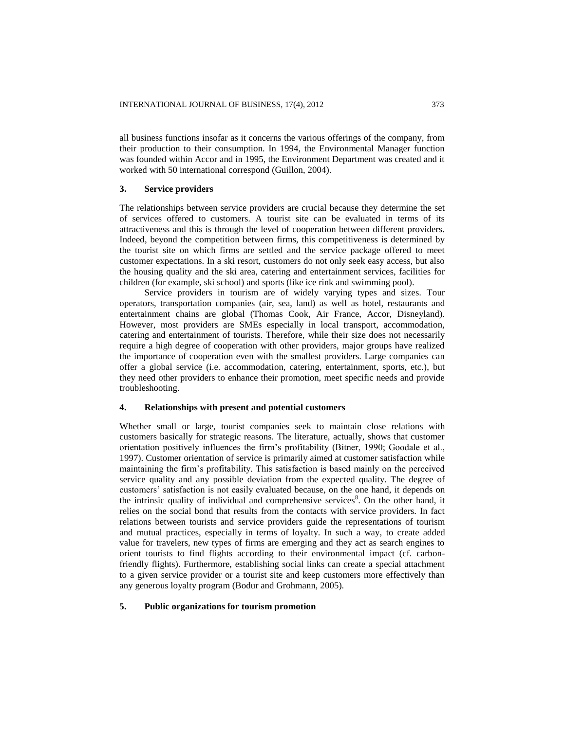all business functions insofar as it concerns the various offerings of the company, from their production to their consumption. In 1994, the Environmental Manager function was founded within Accor and in 1995, the Environment Department was created and it worked with 50 international correspond (Guillon, 2004).

# **3. Service providers**

The relationships between service providers are crucial because they determine the set of services offered to customers. A tourist site can be evaluated in terms of its attractiveness and this is through the level of cooperation between different providers. Indeed, beyond the competition between firms, this competitiveness is determined by the tourist site on which firms are settled and the service package offered to meet customer expectations. In a ski resort, customers do not only seek easy access, but also the housing quality and the ski area, catering and entertainment services, facilities for children (for example, ski school) and sports (like ice rink and swimming pool).

Service providers in tourism are of widely varying types and sizes. Tour operators, transportation companies (air, sea, land) as well as hotel, restaurants and entertainment chains are global (Thomas Cook, Air France, Accor, Disneyland). However, most providers are SMEs especially in local transport, accommodation, catering and entertainment of tourists. Therefore, while their size does not necessarily require a high degree of cooperation with other providers, major groups have realized the importance of cooperation even with the smallest providers. Large companies can offer a global service (i.e. accommodation, catering, entertainment, sports, etc.), but they need other providers to enhance their promotion, meet specific needs and provide troubleshooting.

## **4. Relationships with present and potential customers**

Whether small or large, tourist companies seek to maintain close relations with customers basically for strategic reasons. The literature, actually, shows that customer orientation positively influences the firm's profitability (Bitner, 1990; Goodale et al., 1997). Customer orientation of service is primarily aimed at customer satisfaction while maintaining the firm's profitability. This satisfaction is based mainly on the perceived service quality and any possible deviation from the expected quality. The degree of customers' satisfaction is not easily evaluated because, on the one hand, it depends on the intrinsic quality of individual and comprehensive services<sup>8</sup>. On the other hand, it relies on the social bond that results from the contacts with service providers. In fact relations between tourists and service providers guide the representations of tourism and mutual practices, especially in terms of loyalty. In such a way, to create added value for travelers, new types of firms are emerging and they act as search engines to orient tourists to find flights according to their environmental impact (cf. carbonfriendly flights). Furthermore, establishing social links can create a special attachment to a given service provider or a tourist site and keep customers more effectively than any generous loyalty program (Bodur and Grohmann, 2005).

# **5. Public organizations for tourism promotion**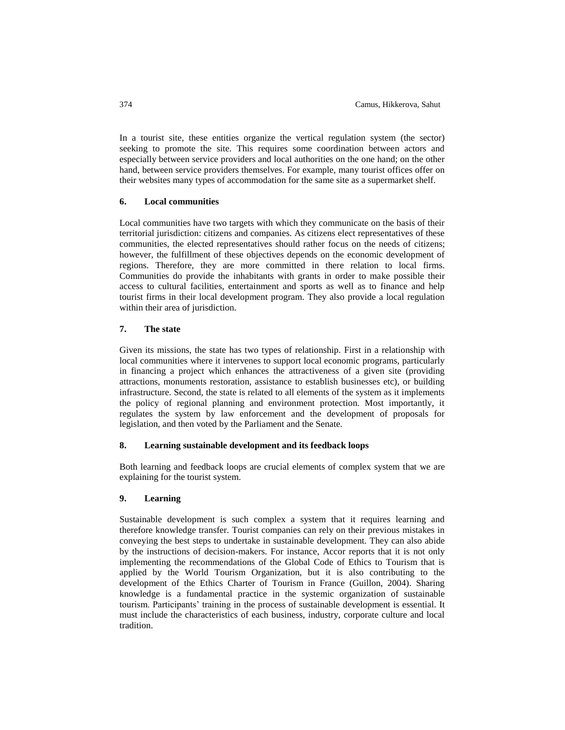In a tourist site, these entities organize the vertical regulation system (the sector) seeking to promote the site. This requires some coordination between actors and especially between service providers and local authorities on the one hand; on the other hand, between service providers themselves. For example, many tourist offices offer on their websites many types of accommodation for the same site as a supermarket shelf.

#### **6. Local communities**

Local communities have two targets with which they communicate on the basis of their territorial jurisdiction: citizens and companies. As citizens elect representatives of these communities, the elected representatives should rather focus on the needs of citizens; however, the fulfillment of these objectives depends on the economic development of regions. Therefore, they are more committed in there relation to local firms. Communities do provide the inhabitants with grants in order to make possible their access to cultural facilities, entertainment and sports as well as to finance and help tourist firms in their local development program. They also provide a local regulation within their area of jurisdiction.

# **7. The state**

Given its missions, the state has two types of relationship. First in a relationship with local communities where it intervenes to support local economic programs, particularly in financing a project which enhances the attractiveness of a given site (providing attractions, monuments restoration, assistance to establish businesses etc), or building infrastructure. Second, the state is related to all elements of the system as it implements the policy of regional planning and environment protection. Most importantly, it regulates the system by law enforcement and the development of proposals for legislation, and then voted by the Parliament and the Senate.

# **8. Learning sustainable development and its feedback loops**

Both learning and feedback loops are crucial elements of complex system that we are explaining for the tourist system.

#### **9. Learning**

Sustainable development is such complex a system that it requires learning and therefore knowledge transfer. Tourist companies can rely on their previous mistakes in conveying the best steps to undertake in sustainable development. They can also abide by the instructions of decision-makers. For instance, Accor reports that it is not only implementing the recommendations of the Global Code of Ethics to Tourism that is applied by the World Tourism Organization, but it is also contributing to the development of the Ethics Charter of Tourism in France (Guillon, 2004). Sharing knowledge is a fundamental practice in the systemic organization of sustainable tourism. Participants' training in the process of sustainable development is essential. It must include the characteristics of each business, industry, corporate culture and local tradition.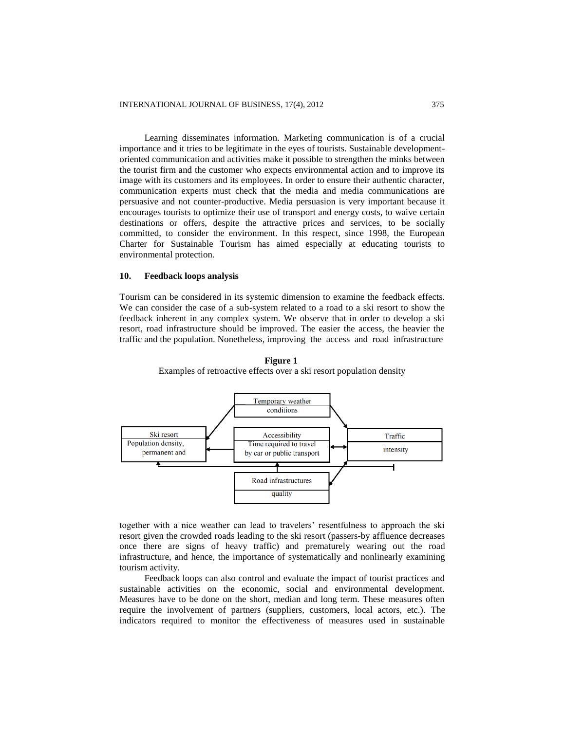Learning disseminates information. Marketing communication is of a crucial importance and it tries to be legitimate in the eyes of tourists. Sustainable developmentoriented communication and activities make it possible to strengthen the minks between the tourist firm and the customer who expects environmental action and to improve its image with its customers and its employees. In order to ensure their authentic character, communication experts must check that the media and media communications are persuasive and not counter-productive. Media persuasion is very important because it encourages tourists to optimize their use of transport and energy costs, to waive certain destinations or offers, despite the attractive prices and services, to be socially committed, to consider the environment. In this respect, since 1998, the European Charter for Sustainable Tourism has aimed especially at educating tourists to environmental protection.

# **10. Feedback loops analysis**

Tourism can be considered in its systemic dimension to examine the feedback effects. We can consider the case of a sub-system related to a road to a ski resort to show the feedback inherent in any complex system. We observe that in order to develop a ski resort, road infrastructure should be improved. The easier the access, the heavier the traffic and the population. Nonetheless, improving the access and road infrastructure



**Figure 1** Examples of retroactive effects over a ski resort population density

together with a nice weather can lead to travelers' resentfulness to approach the ski resort given the crowded roads leading to the ski resort (passers-by affluence decreases once there are signs of heavy traffic) and prematurely wearing out the road infrastructure, and hence, the importance of systematically and nonlinearly examining tourism activity.

Feedback loops can also control and evaluate the impact of tourist practices and sustainable activities on the economic, social and environmental development. Measures have to be done on the short, median and long term. These measures often require the involvement of partners (suppliers, customers, local actors, etc.). The indicators required to monitor the effectiveness of measures used in sustainable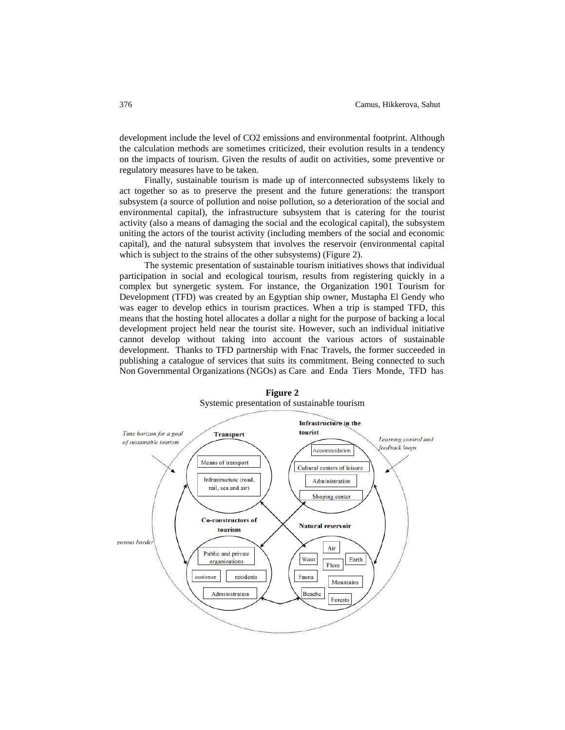development include the level of CO2 emissions and environmental footprint. Although the calculation methods are sometimes criticized, their evolution results in a tendency on the impacts of tourism. Given the results of audit on activities, some preventive or regulatory measures have to be taken.

Finally, sustainable tourism is made up of interconnected subsystems likely to act together so as to preserve the present and the future generations: the transport subsystem (a source of pollution and noise pollution, so a deterioration of the social and environmental capital), the infrastructure subsystem that is catering for the tourist activity (also a means of damaging the social and the ecological capital), the subsystem uniting the actors of the tourist activity (including members of the social and economic capital), and the natural subsystem that involves the reservoir (environmental capital which is subject to the strains of the other subsystems) (Figure 2).

The systemic presentation of sustainable tourism initiatives shows that individual participation in social and ecological tourism, results from registering quickly in a complex but synergetic system. For instance, the Organization 1901 Tourism for Development (TFD) was created by an Egyptian ship owner, Mustapha El Gendy who was eager to develop ethics in tourism practices. When a trip is stamped TFD, this means that the hosting hotel allocates a dollar a night for the purpose of backing a local development project held near the tourist site. However, such an individual initiative cannot develop without taking into account the various actors of sustainable development. Thanks to TFD partnership with Fnac Travels, the former succeeded in publishing a catalogue of services that suits its commitment. Being connected to such Non Governmental Organizations (NGOs) as Care and Enda Tiers Monde, TFD has



**Figure 2** Systemic presentation of sustainable tourism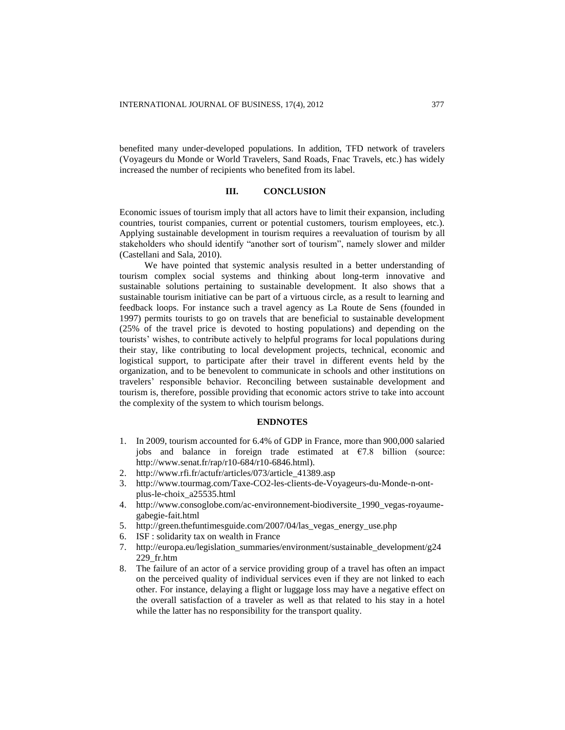benefited many under-developed populations. In addition, TFD network of travelers (Voyageurs du Monde or World Travelers, Sand Roads, Fnac Travels, etc.) has widely increased the number of recipients who benefited from its label.

## **III. CONCLUSION**

Economic issues of tourism imply that all actors have to limit their expansion, including countries, tourist companies, current or potential customers, tourism employees, etc.). Applying sustainable development in tourism requires a reevaluation of tourism by all stakeholders who should identify "another sort of tourism", namely slower and milder (Castellani and Sala, 2010).

We have pointed that systemic analysis resulted in a better understanding of tourism complex social systems and thinking about long-term innovative and sustainable solutions pertaining to sustainable development. It also shows that a sustainable tourism initiative can be part of a virtuous circle, as a result to learning and feedback loops. For instance such a travel agency as La Route de Sens (founded in 1997) permits tourists to go on travels that are beneficial to sustainable development (25% of the travel price is devoted to hosting populations) and depending on the tourists' wishes, to contribute actively to helpful programs for local populations during their stay, like contributing to local development projects, technical, economic and logistical support, to participate after their travel in different events held by the organization, and to be benevolent to communicate in schools and other institutions on travelers' responsible behavior. Reconciling between sustainable development and tourism is, therefore, possible providing that economic actors strive to take into account the complexity of the system to which tourism belongs.

# **ENDNOTES**

- 1. In 2009, tourism accounted for 6.4% of GDP in France, more than 900,000 salaried jobs and balance in foreign trade estimated at  $E$ 7.8 billion (source: [http://www.senat.fr/rap/r10-684/r10-6846.html\)](http://www.senat.fr/rap/r10-684/r10-6846.html).
- 2. [http://www.rfi.fr/actufr/articles/073/article\\_41389.asp](http://www.rfi.fr/actufr/articles/073/article_41389.asp)
- 3. [http://www.tourmag.com/Taxe-CO2-les-clients-de-Voyageurs-du-Monde-n-ont](http://www.tourmag.com/Taxe-CO2-les-clients-de-Voyageurs-du-Monde-n-ont-plus-le-choix_a25535.html)[plus-le-choix\\_a25535.html](http://www.tourmag.com/Taxe-CO2-les-clients-de-Voyageurs-du-Monde-n-ont-plus-le-choix_a25535.html)
- 4. [http://www.consoglobe.com/ac-environnement-biodiversite\\_1990\\_vegas-royaume](http://www.consoglobe.com/ac-environnement-biodiversite_1990_vegas-royaume-gabegie-fait.html)[gabegie-fait.html](http://www.consoglobe.com/ac-environnement-biodiversite_1990_vegas-royaume-gabegie-fait.html)
- 5. [http://green.thefuntimesguide.com/2007/04/las\\_vegas\\_energy\\_use.php](http://green.thefuntimesguide.com/2007/04/las_vegas_energy_use.php)
- 6. ISF : solidarity tax on wealth in France
- 7. [http://europa.eu/legislation\\_summaries/environment/sustainable\\_development/g24](http://europa.eu/legislation_summaries/environment/sustainable_development/g24229_fr.htm) [229\\_fr.htm](http://europa.eu/legislation_summaries/environment/sustainable_development/g24229_fr.htm)
- 8. The failure of an actor of a service providing group of a travel has often an impact on the perceived quality of individual services even if they are not linked to each other. For instance, delaying a flight or luggage loss may have a negative effect on the overall satisfaction of a traveler as well as that related to his stay in a hotel while the latter has no responsibility for the transport quality.